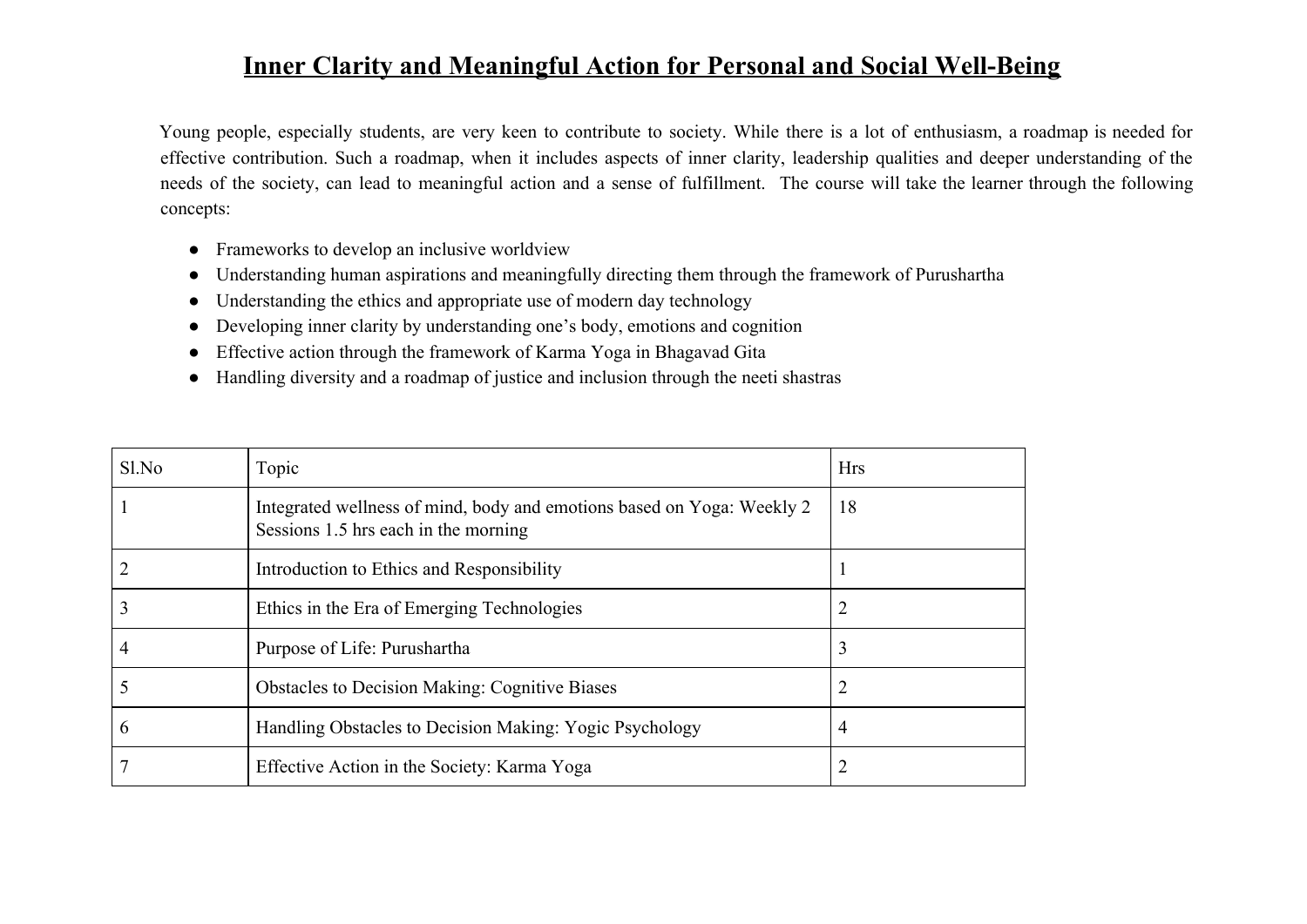## **Inner Clarity and Meaningful Action for Personal and Social Well-Being**

Young people, especially students, are very keen to contribute to society. While there is a lot of enthusiasm, a roadmap is needed for effective contribution. Such a roadmap, when it includes aspects of inner clarity, leadership qualities and deeper understanding of the needs of the society, can lead to meaningful action and a sense of fulfillment. The course will take the learner through the following concepts:

- Frameworks to develop an inclusive worldview
- Understanding human aspirations and meaningfully directing them through the framework of Purushartha
- Understanding the ethics and appropriate use of modern day technology
- Developing inner clarity by understanding one's body, emotions and cognition
- Effective action through the framework of Karma Yoga in Bhagavad Gita
- Handling diversity and a roadmap of justice and inclusion through the neeti shastras

| Sl.No | Topic                                                                                                          | <b>Hrs</b> |
|-------|----------------------------------------------------------------------------------------------------------------|------------|
|       | Integrated wellness of mind, body and emotions based on Yoga: Weekly 2<br>Sessions 1.5 hrs each in the morning | 18         |
|       | Introduction to Ethics and Responsibility                                                                      |            |
|       | Ethics in the Era of Emerging Technologies                                                                     |            |
| 4     | Purpose of Life: Purushartha                                                                                   | 3          |
|       | <b>Obstacles to Decision Making: Cognitive Biases</b>                                                          |            |
| b     | Handling Obstacles to Decision Making: Yogic Psychology                                                        | 4          |
|       | Effective Action in the Society: Karma Yoga                                                                    |            |